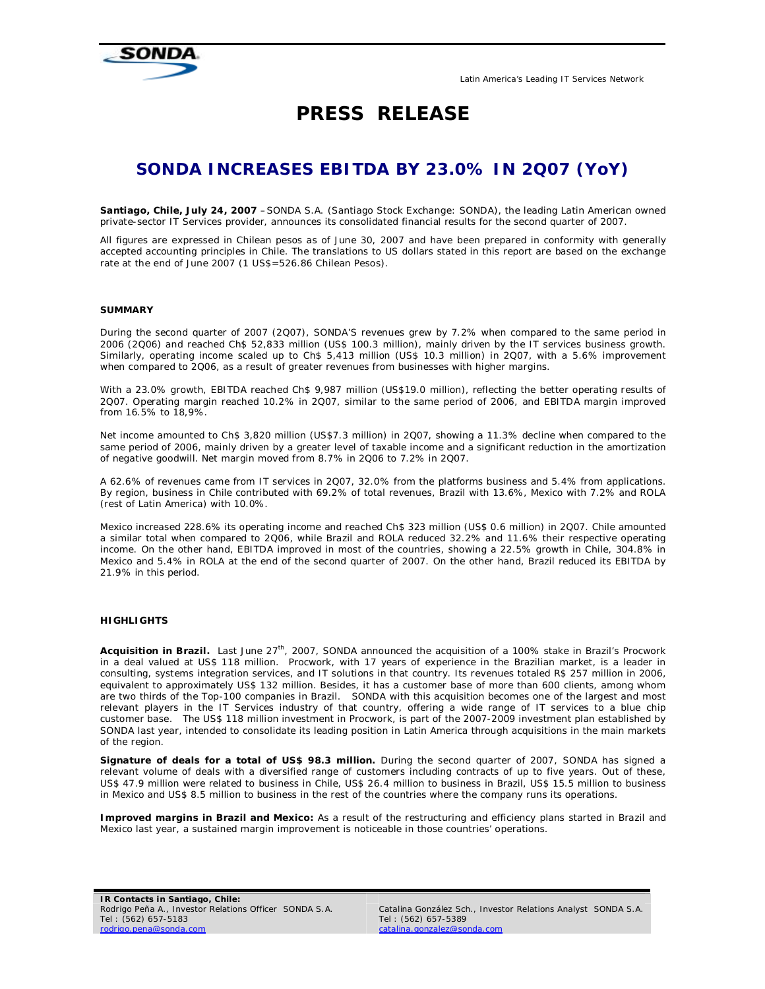

# **PRESS RELEASE**

## **SONDA INCREASES EBITDA BY 23.0% IN 2Q07 (YoY)**

*Santiago, Chile, July 24, 2007 –SONDA S.A. (Santiago Stock Exchange: SONDA), the leading Latin American owned private-sector IT Services provider, announces its consolidated financial results for the second quarter of 2007.* 

All figures are expressed in Chilean pesos as of June 30, 2007 and have been prepared in conformity with generally accepted accounting principles in Chile. The translations to US dollars stated in this report are based on the exchange *rate at the end of June 2007 (1 US\$=526.86 Chilean Pesos).* 

#### **SUMMARY**

During the second quarter of 2007 (2Q07), SONDA'S revenues grew by 7.2% when compared to the same period in 2006 (2Q06) and reached Ch\$ 52,833 million (US\$ 100.3 million), mainly driven by the IT services business growth. Similarly, operating income scaled up to Ch\$ 5,413 million (US\$ 10.3 million) in 2Q07, with a 5.6% improvement when compared to 2Q06, as a result of greater revenues from businesses with higher margins.

With a 23.0% growth, EBITDA reached Ch\$ 9,987 million (US\$19.0 million), reflecting the better operating results of 2Q07. Operating margin reached 10.2% in 2Q07, similar to the same period of 2006, and EBITDA margin improved from 16.5% to 18,9%.

Net income amounted to Ch\$ 3,820 million (US\$7.3 million) in 2Q07, showing a 11.3% decline when compared to the same period of 2006, mainly driven by a greater level of taxable income and a significant reduction in the amortization of negative goodwill. Net margin moved from 8.7% in 2Q06 to 7.2% in 2Q07.

A 62.6% of revenues came from IT services in 2Q07, 32.0% from the platforms business and 5.4% from applications. By region, business in Chile contributed with 69.2% of total revenues, Brazil with 13.6%, Mexico with 7.2% and ROLA (rest of Latin America) with 10.0%.

Mexico increased 228.6% its operating income and reached Ch\$ 323 million (US\$ 0.6 million) in 2Q07. Chile amounted a similar total when compared to 2Q06, while Brazil and ROLA reduced 32.2% and 11.6% their respective operating income. On the other hand, EBITDA improved in most of the countries, showing a 22.5% growth in Chile, 304.8% in Mexico and 5.4% in ROLA at the end of the second quarter of 2007. On the other hand, Brazil reduced its EBITDA by 21.9% in this period.

#### **HIGHLIGHTS**

Acquisition in Brazil. Last June 27<sup>th</sup>, 2007, SONDA announced the acquisition of a 100% stake in Brazil's Procwork in a deal valued at US\$ 118 million. Procwork, with 17 years of experience in the Brazilian market, is a leader in consulting, systems integration services, and IT solutions in that country. Its revenues totaled R\$ 257 million in 2006, equivalent to approximately US\$ 132 million. Besides, it has a customer base of more than 600 clients, among whom are two thirds of the Top-100 companies in Brazil. SONDA with this acquisition becomes one of the largest and most relevant players in the IT Services industry of that country, offering a wide range of IT services to a blue chip customer base. The US\$ 118 million investment in Procwork, is part of the 2007-2009 investment plan established by SONDA last year, intended to consolidate its leading position in Latin America through acquisitions in the main markets of the region.

**Signature of deals for a total of US\$ 98.3 million.** During the second quarter of 2007, SONDA has signed a relevant volume of deals with a diversified range of customers including contracts of up to five years. Out of these, US\$ 47.9 million were related to business in Chile, US\$ 26.4 million to business in Brazil, US\$ 15.5 million to business in Mexico and US\$ 8.5 million to business in the rest of the countries where the company runs its operations.

**Improved margins in Brazil and Mexico:** As a result of the restructuring and efficiency plans started in Brazil and Mexico last year, a sustained margin improvement is noticeable in those countries' operations.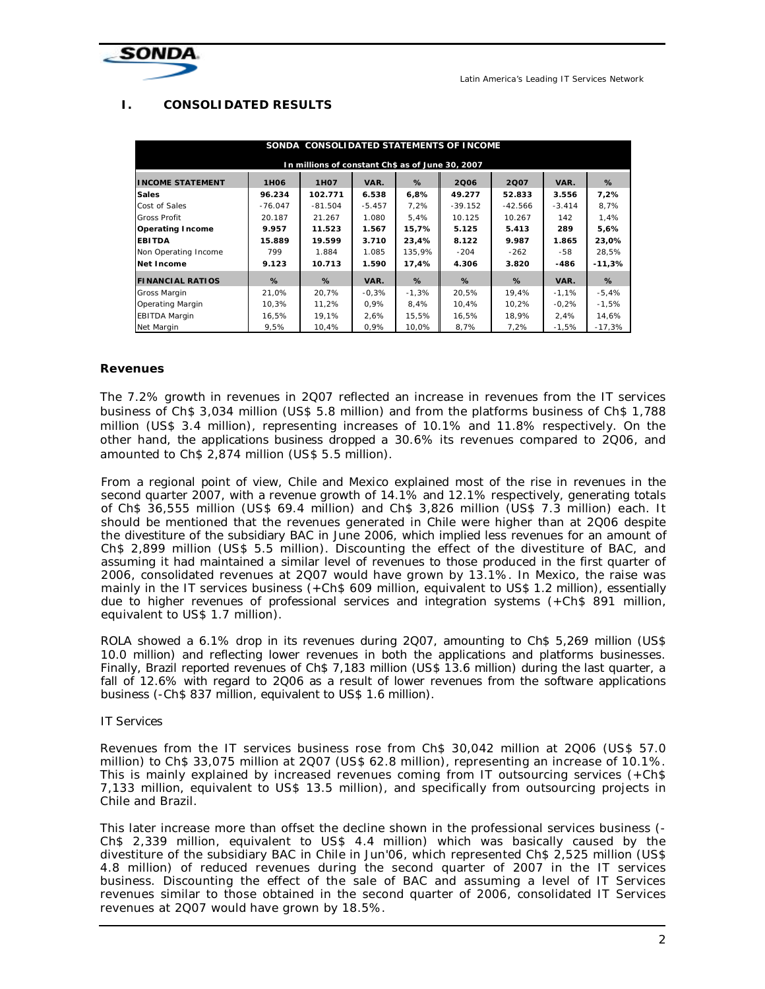

## **I. CONSOLIDATED RESULTS**

| SONDA CONSOLIDATED STATEMENTS OF INCOME          |             |                   |          |         |           |           |          |          |  |
|--------------------------------------------------|-------------|-------------------|----------|---------|-----------|-----------|----------|----------|--|
| In millions of constant Ch\$ as of June 30, 2007 |             |                   |          |         |           |           |          |          |  |
| <b>INCOME STATEMENT</b>                          | <b>1H06</b> | 1H <sub>0</sub> 7 | VAR.     | $\%$    | 2006      | 2Q07      | VAR.     | %        |  |
| <b>Sales</b>                                     | 96.234      | 102.771           | 6.538    | 6,8%    | 49.277    | 52.833    | 3.556    | 7.2%     |  |
| Cost of Sales                                    | $-76.047$   | $-81.504$         | $-5.457$ | 7,2%    | $-39.152$ | $-42.566$ | $-3.414$ | 8,7%     |  |
| <b>Gross Profit</b>                              | 20.187      | 21.267            | 1.080    | 5,4%    | 10.125    | 10.267    | 142      | 1,4%     |  |
| <b>Operating Income</b>                          | 9.957       | 11.523            | 1.567    | 15,7%   | 5.125     | 5.413     | 289      | 5,6%     |  |
| <b>EBITDA</b>                                    | 15.889      | 19.599            | 3.710    | 23,4%   | 8.122     | 9.987     | 1.865    | 23,0%    |  |
| Non Operating Income                             | 799         | 1.884             | 1.085    | 135,9%  | $-204$    | $-262$    | -58      | 28,5%    |  |
| Net Income                                       | 9.123       | 10.713            | 1.590    | 17,4%   | 4.306     | 3.820     | -486     | $-11,3%$ |  |
| <b>FINANCIAL RATIOS</b>                          | %           | %                 | VAR.     | %       | $\%$      | %         | VAR.     | $\%$     |  |
| <b>Gross Margin</b>                              | 21,0%       | 20,7%             | $-0,3%$  | $-1,3%$ | 20,5%     | 19,4%     | $-1,1%$  | $-5,4%$  |  |
| <b>Operating Margin</b>                          | 10,3%       | 11,2%             | 0,9%     | 8,4%    | 10,4%     | 10,2%     | $-0.2%$  | $-1,5%$  |  |
| <b>EBITDA Margin</b>                             | 16,5%       | 19,1%             | 2,6%     | 15,5%   | 16,5%     | 18.9%     | 2.4%     | 14,6%    |  |
| Net Margin                                       | 9,5%        | 10,4%             | 0,9%     | 10,0%   | 8,7%      | 7,2%      | -1,5%    | -17,3%   |  |

## **Revenues**

The 7.2% growth in revenues in 2Q07 reflected an increase in revenues from the IT services business of Ch\$ 3,034 million (US\$ 5.8 million) and from the platforms business of Ch\$ 1,788 million (US\$ 3.4 million), representing increases of 10.1% and 11.8% respectively. On the other hand, the applications business dropped a 30.6% its revenues compared to 2Q06, and amounted to Ch\$ 2,874 million (US\$ 5.5 million).

From a regional point of view, Chile and Mexico explained most of the rise in revenues in the second quarter 2007, with a revenue growth of 14.1% and 12.1% respectively, generating totals of Ch\$ 36,555 million (US\$ 69.4 million) and Ch\$ 3,826 million (US\$ 7.3 million) each. It should be mentioned that the revenues generated in Chile were higher than at 2Q06 despite the divestiture of the subsidiary BAC in June 2006, which implied less revenues for an amount of Ch\$ 2,899 million (US\$ 5.5 million). Discounting the effect of the divestiture of BAC, and assuming it had maintained a similar level of revenues to those produced in the first quarter of 2006, consolidated revenues at 2Q07 would have grown by 13.1%. In Mexico, the raise was mainly in the IT services business (+Ch\$ 609 million, equivalent to US\$ 1.2 million), essentially due to higher revenues of professional services and integration systems (+Ch\$ 891 million, equivalent to US\$ 1.7 million).

ROLA showed a 6.1% drop in its revenues during 2Q07, amounting to Ch\$ 5,269 million (US\$ 10.0 million) and reflecting lower revenues in both the applications and platforms businesses. Finally, Brazil reported revenues of Ch\$ 7,183 million (US\$ 13.6 million) during the last quarter, a fall of 12.6% with regard to 2Q06 as a result of lower revenues from the software applications business (-Ch\$ 837 million, equivalent to US\$ 1.6 million).

## IT Services

Revenues from the IT services business rose from Ch\$ 30,042 million at 2Q06 (US\$ 57.0 million) to Ch\$ 33,075 million at 2Q07 (US\$ 62.8 million), representing an increase of 10.1%. This is mainly explained by increased revenues coming from IT outsourcing services (+Ch\$ 7,133 million, equivalent to US\$ 13.5 million), and specifically from outsourcing projects in Chile and Brazil.

This later increase more than offset the decline shown in the professional services business (- Ch\$ 2,339 million, equivalent to US\$ 4.4 million) which was basically caused by the divestiture of the subsidiary BAC in Chile in Jun'06, which represented Ch\$ 2,525 million (US\$ 4.8 million) of reduced revenues during the second quarter of 2007 in the IT services business. Discounting the effect of the sale of BAC and assuming a level of IT Services revenues similar to those obtained in the second quarter of 2006, consolidated IT Services revenues at 2Q07 would have grown by 18.5%.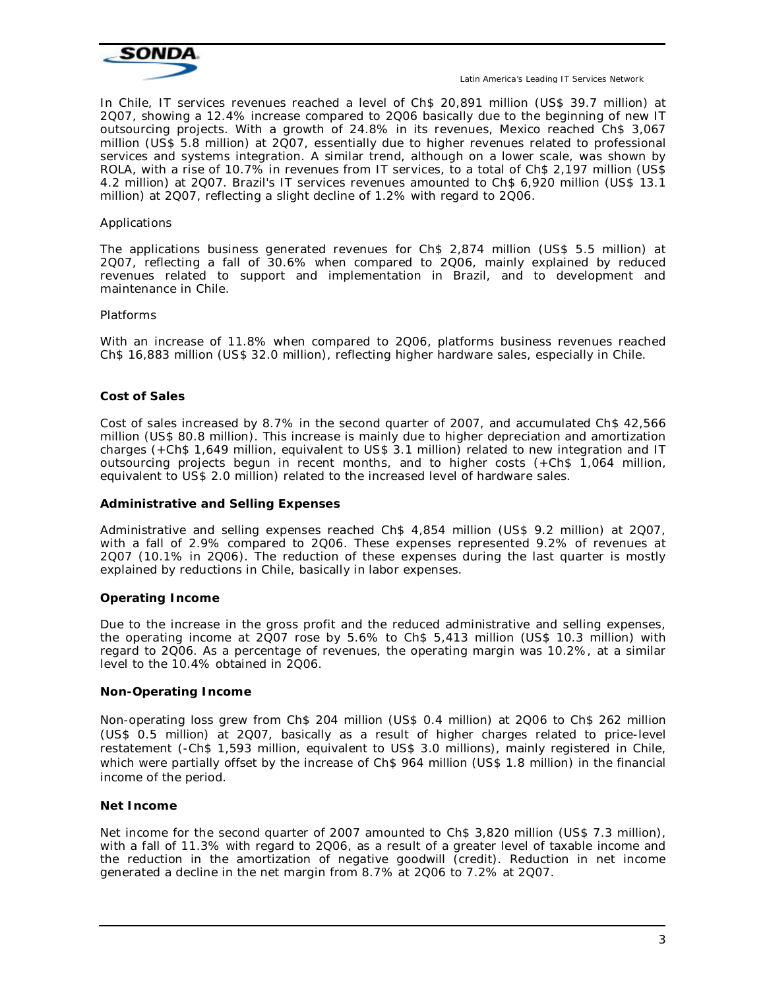

In Chile, IT services revenues reached a level of Ch\$ 20,891 million (US\$ 39.7 million) at 2Q07, showing a 12.4% increase compared to 2Q06 basically due to the beginning of new IT outsourcing projects. With a growth of 24.8% in its revenues, Mexico reached Ch\$ 3,067 million (US\$ 5.8 million) at 2Q07, essentially due to higher revenues related to professional services and systems integration. A similar trend, although on a lower scale, was shown by ROLA, with a rise of 10.7% in revenues from IT services, to a total of Ch\$ 2,197 million (US\$ 4.2 million) at 2Q07. Brazil's IT services revenues amounted to Ch\$ 6,920 million (US\$ 13.1 million) at 2Q07, reflecting a slight decline of 1.2% with regard to 2Q06.

#### Applications

The applications business generated revenues for Ch\$ 2,874 million (US\$ 5.5 million) at 2Q07, reflecting a fall of 30.6% when compared to 2Q06, mainly explained by reduced revenues related to support and implementation in Brazil, and to development and maintenance in Chile.

#### Platforms

With an increase of 11.8% when compared to 2Q06, platforms business revenues reached Ch\$ 16,883 million (US\$ 32.0 million), reflecting higher hardware sales, especially in Chile.

#### **Cost of Sales**

Cost of sales increased by 8.7% in the second quarter of 2007, and accumulated Ch\$ 42,566 million (US\$ 80.8 million). This increase is mainly due to higher depreciation and amortization charges (+Ch\$ 1,649 million, equivalent to US\$ 3.1 million) related to new integration and IT outsourcing projects begun in recent months, and to higher costs (+Ch\$ 1,064 million, equivalent to US\$ 2.0 million) related to the increased level of hardware sales.

#### **Administrative and Selling Expenses**

Administrative and selling expenses reached Ch\$ 4,854 million (US\$ 9.2 million) at 2Q07, with a fall of 2.9% compared to 2Q06. These expenses represented 9.2% of revenues at 2Q07 (10.1% in 2Q06). The reduction of these expenses during the last quarter is mostly explained by reductions in Chile, basically in labor expenses.

#### **Operating Income**

Due to the increase in the gross profit and the reduced administrative and selling expenses, the operating income at 2Q07 rose by 5.6% to Ch\$ 5,413 million (US\$ 10.3 million) with regard to 2Q06. As a percentage of revenues, the operating margin was 10.2%, at a similar level to the 10.4% obtained in 2Q06.

#### **Non-Operating Income**

Non-operating loss grew from Ch\$ 204 million (US\$ 0.4 million) at 2Q06 to Ch\$ 262 million (US\$ 0.5 million) at 2Q07, basically as a result of higher charges related to price-level restatement (-Ch\$ 1,593 million, equivalent to US\$ 3.0 millions), mainly registered in Chile, which were partially offset by the increase of Ch\$ 964 million (US\$ 1.8 million) in the financial income of the period.

#### **Net Income**

Net income for the second quarter of 2007 amounted to Ch\$ 3,820 million (US\$ 7.3 million), with a fall of 11.3% with regard to 2Q06, as a result of a greater level of taxable income and the reduction in the amortization of negative goodwill (credit). Reduction in net income generated a decline in the net margin from 8.7% at 2Q06 to 7.2% at 2Q07.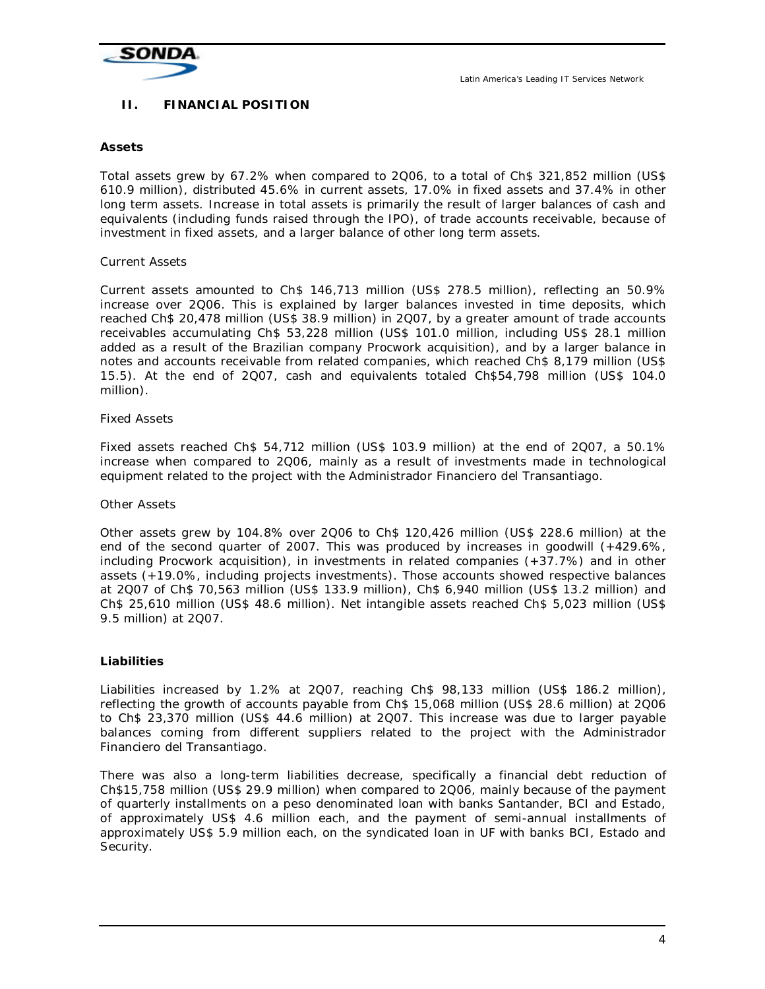

## **II. FINANCIAL POSITION**

## **Assets**

Total assets grew by 67.2% when compared to 2Q06, to a total of Ch\$ 321,852 million (US\$ 610.9 million), distributed 45.6% in current assets, 17.0% in fixed assets and 37.4% in other long term assets. Increase in total assets is primarily the result of larger balances of cash and equivalents (including funds raised through the IPO), of trade accounts receivable, because of investment in fixed assets, and a larger balance of other long term assets.

## Current Assets

Current assets amounted to Ch\$ 146,713 million (US\$ 278.5 million), reflecting an 50.9% increase over 2Q06. This is explained by larger balances invested in time deposits, which reached Ch\$ 20,478 million (US\$ 38.9 million) in 2Q07, by a greater amount of trade accounts receivables accumulating Ch\$ 53,228 million (US\$ 101.0 million, including US\$ 28.1 million added as a result of the Brazilian company Procwork acquisition), and by a larger balance in notes and accounts receivable from related companies, which reached Ch\$ 8,179 million (US\$ 15.5). At the end of 2Q07, cash and equivalents totaled Ch\$54,798 million (US\$ 104.0 million).

## Fixed Assets

Fixed assets reached Ch\$ 54,712 million (US\$ 103.9 million) at the end of 2Q07, a 50.1% increase when compared to 2Q06, mainly as a result of investments made in technological equipment related to the project with the Administrador Financiero del Transantiago.

## Other Assets

Other assets grew by 104.8% over 2Q06 to Ch\$ 120,426 million (US\$ 228.6 million) at the end of the second quarter of 2007. This was produced by increases in goodwill (+429.6%, including Procwork acquisition), in investments in related companies (+37.7%) and in other assets (+19.0%, including projects investments). Those accounts showed respective balances at 2Q07 of Ch\$ 70,563 million (US\$ 133.9 million), Ch\$ 6,940 million (US\$ 13.2 million) and Ch\$ 25,610 million (US\$ 48.6 million). Net intangible assets reached Ch\$ 5,023 million (US\$ 9.5 million) at 2Q07.

## **Liabilities**

Liabilities increased by 1.2% at 2Q07, reaching Ch\$ 98,133 million (US\$ 186.2 million), reflecting the growth of accounts payable from Ch\$ 15,068 million (US\$ 28.6 million) at 2Q06 to Ch\$ 23,370 million (US\$ 44.6 million) at 2Q07. This increase was due to larger payable balances coming from different suppliers related to the project with the Administrador Financiero del Transantiago.

There was also a long-term liabilities decrease, specifically a financial debt reduction of Ch\$15,758 million (US\$ 29.9 million) when compared to 2Q06, mainly because of the payment of quarterly installments on a peso denominated loan with banks Santander, BCI and Estado, of approximately US\$ 4.6 million each, and the payment of semi-annual installments of approximately US\$ 5.9 million each, on the syndicated loan in UF with banks BCI, Estado and Security.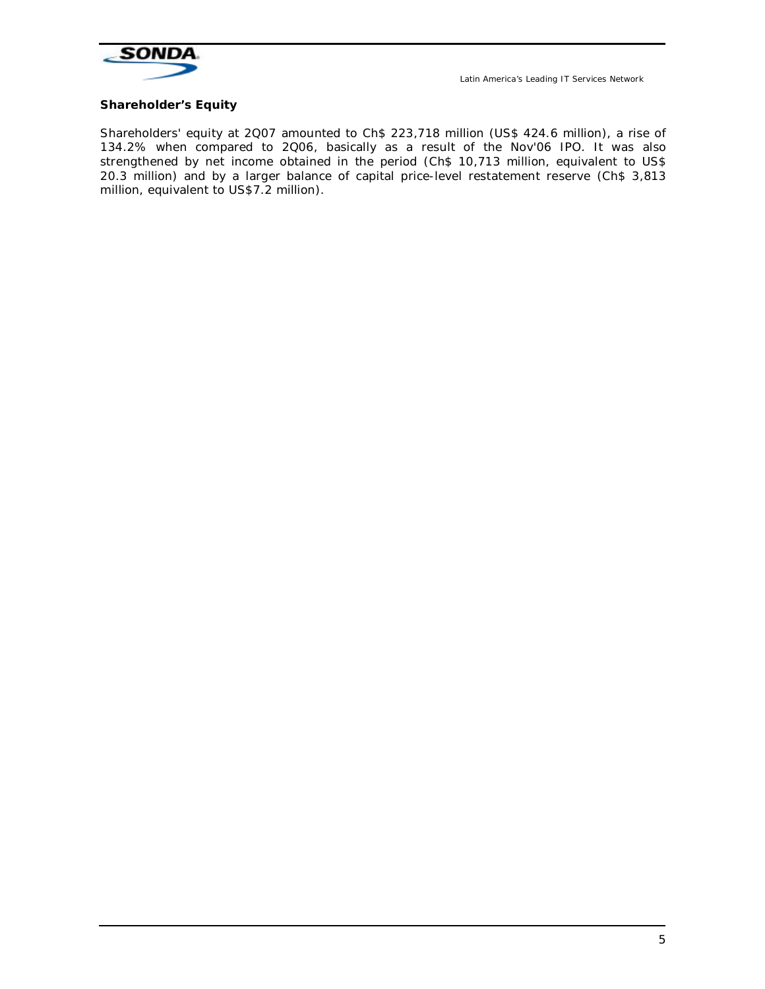

## **Shareholder's Equity**

Shareholders' equity at 2Q07 amounted to Ch\$ 223,718 million (US\$ 424.6 million), a rise of 134.2% when compared to 2Q06, basically as a result of the Nov'06 IPO. It was also strengthened by net income obtained in the period (Ch\$ 10,713 million, equivalent to US\$ 20.3 million) and by a larger balance of capital price-level restatement reserve (Ch\$ 3,813 million, equivalent to US\$7.2 million).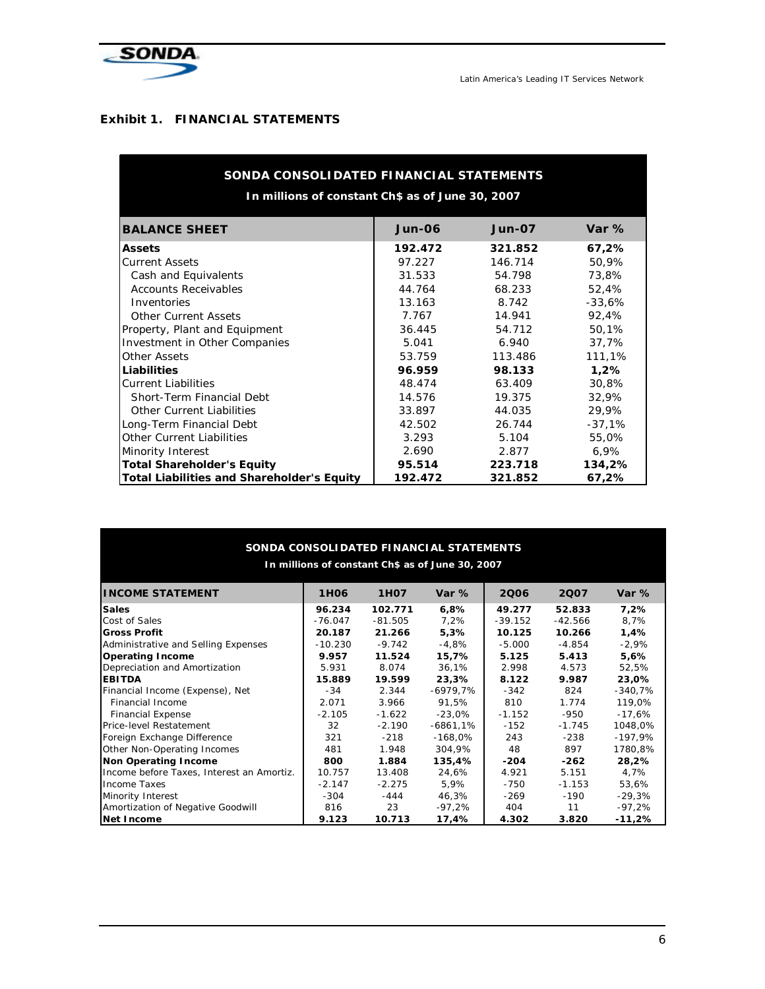

## **Exhibit 1. FINANCIAL STATEMENTS**

| SONDA CONSOLIDATED FINANCIAL STATEMENTS           |               |               |          |  |  |  |  |  |
|---------------------------------------------------|---------------|---------------|----------|--|--|--|--|--|
| In millions of constant Ch\$ as of June 30, 2007  |               |               |          |  |  |  |  |  |
| <b>BALANCE SHEET</b>                              | <b>Jun-06</b> | <b>Jun-07</b> | Var $%$  |  |  |  |  |  |
| <b>Assets</b>                                     | 192.472       | 321.852       | 67,2%    |  |  |  |  |  |
| <b>Current Assets</b>                             | 97.227        | 146.714       | 50,9%    |  |  |  |  |  |
| Cash and Equivalents                              | 31.533        | 54.798        | 73,8%    |  |  |  |  |  |
| <b>Accounts Receivables</b>                       | 44.764        | 68.233        | 52,4%    |  |  |  |  |  |
| Inventories                                       | 13.163        | 8.742         | $-33,6%$ |  |  |  |  |  |
| <b>Other Current Assets</b>                       | 7.767         | 14.941        | 92,4%    |  |  |  |  |  |
| Property, Plant and Equipment                     | 36.445        | 54.712        | 50,1%    |  |  |  |  |  |
| <b>Investment in Other Companies</b>              | 5.041         | 6.940         | 37,7%    |  |  |  |  |  |
| <b>Other Assets</b>                               | 53.759        | 113.486       | 111,1%   |  |  |  |  |  |
| Liabilities                                       | 96.959        | 98.133        | 1,2%     |  |  |  |  |  |
| <b>Current Liabilities</b>                        | 48.474        | 63.409        | 30,8%    |  |  |  |  |  |
| <b>Short-Term Financial Debt</b>                  | 14.576        | 19.375        | 32,9%    |  |  |  |  |  |
| <b>Other Current Liabilities</b>                  | 33.897        | 44.035        | 29,9%    |  |  |  |  |  |
| Long-Term Financial Debt                          | 42.502        | 26.744        | $-37,1%$ |  |  |  |  |  |
| <b>Other Current Liabilities</b>                  | 3.293         | 5.104         | 55,0%    |  |  |  |  |  |
| <b>Minority Interest</b>                          | 2.690         | 2.877         | 6,9%     |  |  |  |  |  |
| <b>Total Shareholder's Equity</b>                 | 95.514        | 223.718       | 134,2%   |  |  |  |  |  |
| <b>Total Liabilities and Shareholder's Equity</b> | 192.472       | 321.852       | 67,2%    |  |  |  |  |  |

| SONDA CONSOLIDATED FINANCIAL STATEMENTS<br>In millions of constant Ch\$ as of June 30, 2007 |                  |             |            |           |           |           |  |  |
|---------------------------------------------------------------------------------------------|------------------|-------------|------------|-----------|-----------|-----------|--|--|
|                                                                                             |                  |             |            |           |           |           |  |  |
| <b>INCOME STATEMENT</b>                                                                     | 1H <sub>06</sub> | <b>1H07</b> | Var $%$    | 2006      | 2007      | Var $%$   |  |  |
| <b>Sales</b>                                                                                | 96.234           | 102.771     | 6,8%       | 49.277    | 52.833    | 7,2%      |  |  |
| Cost of Sales                                                                               | $-76.047$        | $-81.505$   | 7,2%       | $-39.152$ | $-42.566$ | 8,7%      |  |  |
| <b>Gross Profit</b>                                                                         | 20.187           | 21.266      | 5,3%       | 10.125    | 10.266    | 1,4%      |  |  |
| Administrative and Selling Expenses                                                         | $-10.230$        | $-9.742$    | $-4,8%$    | $-5.000$  | $-4.854$  | $-2,9%$   |  |  |
| <b>Operating Income</b>                                                                     | 9.957            | 11.524      | 15,7%      | 5.125     | 5.413     | 5,6%      |  |  |
| Depreciation and Amortization                                                               | 5.931            | 8.074       | 36,1%      | 2.998     | 4.573     | 52,5%     |  |  |
| <b>EBITDA</b>                                                                               | 15.889           | 19.599      | 23,3%      | 8.122     | 9.987     | 23,0%     |  |  |
| Financial Income (Expense), Net                                                             | -34              | 2.344       | -6979,7%   | $-342$    | 824       | $-340,7%$ |  |  |
| <b>Financial Income</b>                                                                     | 2.071            | 3.966       | 91,5%      | 810       | 1.774     | 119,0%    |  |  |
| <b>Financial Expense</b>                                                                    | $-2.105$         | $-1.622$    | $-23,0%$   | $-1.152$  | -950      | -17,6%    |  |  |
| <b>Price-level Restatement</b>                                                              | 32               | $-2.190$    | $-6861,1%$ | $-152$    | $-1.745$  | 1048,0%   |  |  |
| Foreign Exchange Difference                                                                 | 321              | $-218$      | $-168,0\%$ | 243       | $-238$    | -197,9%   |  |  |
| <b>Other Non-Operating Incomes</b>                                                          | 481              | 1.948       | 304,9%     | 48        | 897       | 1780,8%   |  |  |
| Non Operating Income                                                                        | 800              | 1.884       | 135,4%     | $-204$    | $-262$    | 28,2%     |  |  |
| Income before Taxes, Interest an Amortiz.                                                   | 10.757           | 13.408      | 24,6%      | 4.921     | 5.151     | 4,7%      |  |  |
| <b>Income Taxes</b>                                                                         | $-2.147$         | $-2.275$    | 5,9%       | $-750$    | $-1.153$  | 53,6%     |  |  |
| <b>Minority Interest</b>                                                                    | $-304$           | -444        | 46,3%      | $-269$    | -190      | $-29,3%$  |  |  |
| Amortization of Negative Goodwill                                                           | 816              | 23          | -97,2%     | 404       | 11        | -97,2%    |  |  |
| Net Income                                                                                  | 9.123            | 10.713      | 17,4%      | 4.302     | 3.820     | $-11,2%$  |  |  |